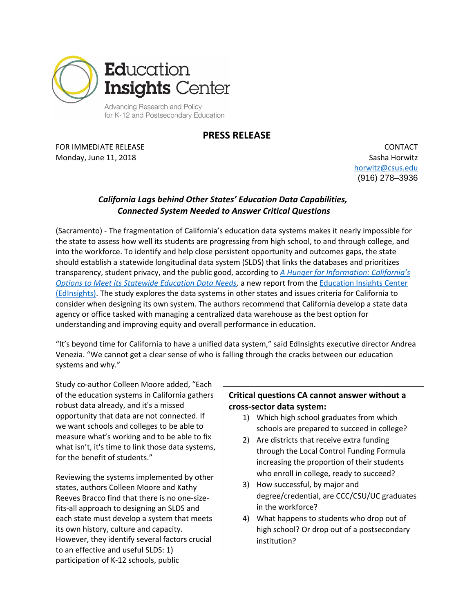

**PRESS RELEASE**

FOR IMMEDIATE RELEASE Monday, June 11, 2018

CONTACT Sasha Horwitz [horwitz@csus.edu](mailto:horwitz@csus.edu)  (916) 278–3936

## *California Lags behind Other States' Education Data Capabilities, Connected System Needed to Answer Critical Questions*

(Sacramento) - The fragmentation of California's education data systems makes it nearly impossible for the state to assess how well its students are progressing from high school, to and through college, and into the workforce. To identify and help close persistent opportunity and outcomes gaps, the state should establish a statewide longitudinal data system (SLDS) that links the databases and prioritizes transparency, student privacy, and the public good, according to *[A Hunger for Information: California's](http://edinsightscenter.org/Portals/0/ReportPDFs/hunger-for-information-final.pdf)  [Options to Meet its Statewide Education Data Needs,](http://edinsightscenter.org/Portals/0/ReportPDFs/hunger-for-information-final.pdf)* a new report from the [Education Insights Center](http://edinsightscenter.org/)  [\(EdInsights\).](http://edinsightscenter.org/) The study explores the data systems in other states and issues criteria for California to consider when designing its own system. The authors recommend that California develop a state data agency or office tasked with managing a centralized data warehouse as the best option for understanding and improving equity and overall performance in education.

"It's beyond time for California to have a unified data system," said EdInsights executive director Andrea Venezia. "We cannot get a clear sense of who is falling through the cracks between our education systems and why."

Study co-author Colleen Moore added, "Each of the education systems in California gathers robust data already, and it's a missed opportunity that data are not connected. If we want schools and colleges to be able to measure what's working and to be able to fix what isn't, it's time to link those data systems, for the benefit of students."

Reviewing the systems implemented by other states, authors Colleen Moore and Kathy Reeves Bracco find that there is no one-sizefits-all approach to designing an SLDS and each state must develop a system that meets its own history, culture and capacity. However, they identify several factors crucial to an effective and useful SLDS: 1) participation of K-12 schools, public

## **Critical questions CA cannot answer without a cross-sector data system:**

- 1) Which high school graduates from which schools are prepared to succeed in college?
- 2) Are districts that receive extra funding through the Local Control Funding Formula increasing the proportion of their students who enroll in college, ready to succeed?
- 3) How successful, by major and degree/credential, are CCC/CSU/UC graduates in the workforce?
- 4) What happens to students who drop out of high school? Or drop out of a postsecondary institution?